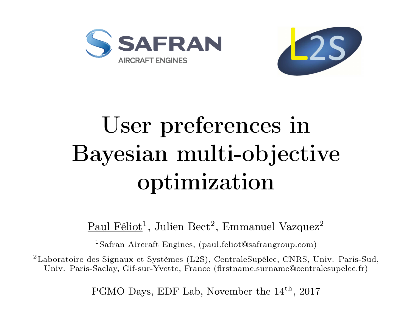



# User preferences in Bayesian multi-objective optimization

### $\text{Paul Féliot}^1$ , Julien Bect<sup>2</sup>, Emmanuel Vazquez<sup>2</sup>

<sup>1</sup>Safran Aircraft Engines, [\(paul.feliot@safrangroup.com\)](mailto:paul.feliot@safrangroup.com)

<sup>2</sup>Laboratoire des Signaux et Systèmes (L2S), CentraleSupélec, CNRS, Univ. Paris-Sud, Univ. Paris-Saclay, Gif-sur-Yvette, France [\(firstname.surname@centralesupelec.fr\)](mailto:firstname.surname@centralesupelec.fr)

PGMO Days, EDF Lab, November the  $14<sup>th</sup>$ , 2017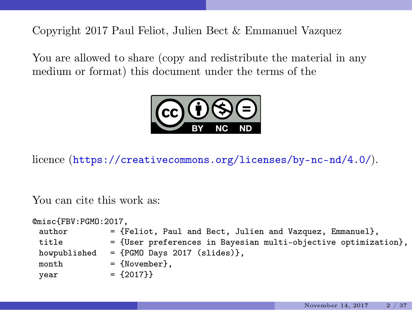Copyright 2017 Paul Feliot, Julien Bect & Emmanuel Vazquez

You are allowed to share (copy and redistribute the material in any medium or format) this document under the terms of the



licence (<https://creativecommons.org/licenses/by-nc-nd/4.0/>).

You can cite this work as:

| @misc{FBV:PGMO:2017, |                                                                  |
|----------------------|------------------------------------------------------------------|
| author               | = {Feliot, Paul and Bect, Julien and Vazquez, Emmanuel},         |
| title                | $=$ {User preferences in Bayesian multi-objective optimization}, |
| howpublished         | $=$ {PGMO Days 2017 (slides)},                                   |
| month                | $=$ {November}.                                                  |
| year                 | $= \{2017\}$                                                     |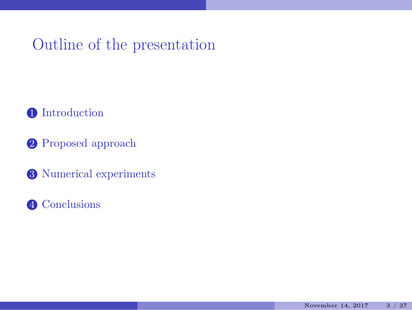### Outline of the presentation

[Introduction](#page-3-0)

- [Proposed approach](#page-10-0)
- [Numerical experiments](#page-23-0)
- [Conclusions](#page-31-0)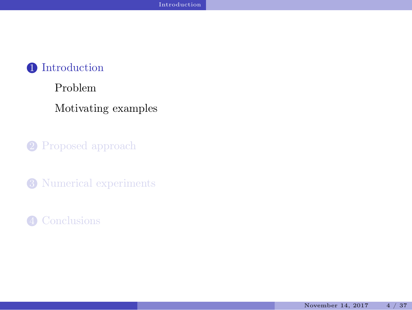#### <span id="page-3-0"></span>[Problem](#page-4-0)

[Motivating examples](#page-7-0)

2 [Proposed approach](#page-10-0)

<sup>3</sup> [Numerical experiments](#page-23-0)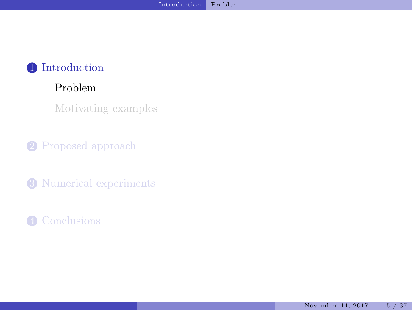#### <span id="page-4-0"></span>[Problem](#page-4-0)

[Motivating examples](#page-7-0)

2 [Proposed approach](#page-10-0)

<sup>3</sup> [Numerical experiments](#page-23-0)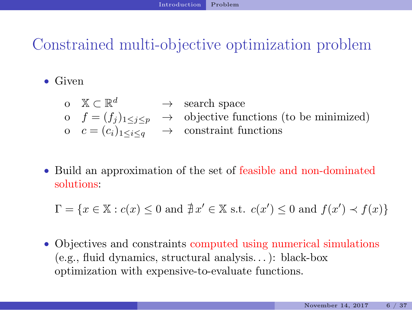## Constrained multi-objective optimization problem

• Given

- o  $X \subset \mathbb{R}^d$   $\longrightarrow$  search space o  $f = (f_j)_{1 \leq j \leq p}$   $\rightarrow$  objective functions (to be minimized) o  $c = (c_i)_{1 \leq i \leq a} \rightarrow$  constraint functions
- Build an approximation of the set of feasible and non-dominated solutions:

 $\Gamma = \{x \in \mathbb{X} : c(x) \leq 0 \text{ and } \nexists x' \in \mathbb{X} \text{ s.t. } c(x') \leq 0 \text{ and } f(x') \prec f(x)\}\$ 

• Objectives and constraints computed using numerical simulations (e.g., fluid dynamics, structural analysis. . . ): black-box optimization with expensive-to-evaluate functions.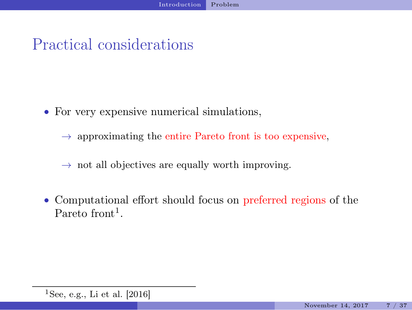### Practical considerations

- For very expensive numerical simulations,
	- $\rightarrow$  approximating the entire Pareto front is too expensive,
	- $\rightarrow$  not all objectives are equally worth improving.
- Computational effort should focus on preferred regions of the Pareto front<sup>1</sup>.

<sup>&</sup>lt;sup>1</sup>See, e.g., [Li et al. \[2016](#page-36-0)]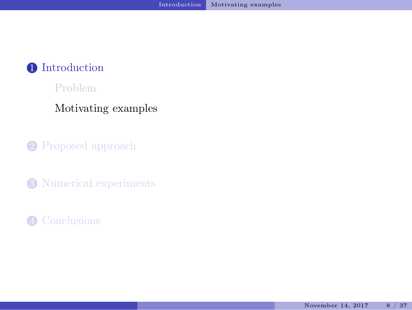<span id="page-7-0"></span>[Problem](#page-4-0)

#### [Motivating examples](#page-7-0)

2 [Proposed approach](#page-10-0)

<sup>3</sup> [Numerical experiments](#page-23-0)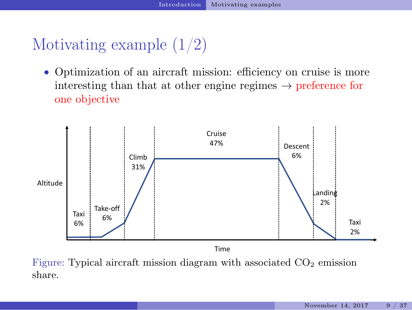### Motivating example (1/2)

• Optimization of an aircraft mission: efficiency on cruise is more interesting than that at other engine regimes  $\rightarrow$  preference for one objective



Figure: Typical aircraft mission diagram with associated  $CO<sub>2</sub>$  emission share.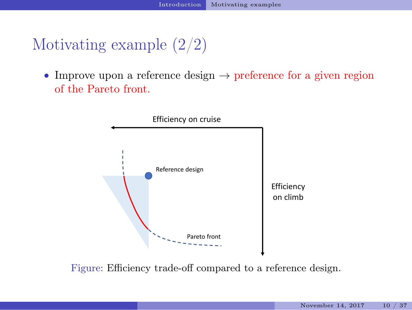### Motivating example (2/2)

• Improve upon a reference design  $\rightarrow$  preference for a given region of the Pareto front.



Figure: Efficiency trade-off compared to a reference design.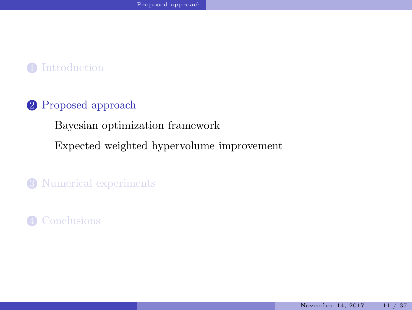#### <span id="page-10-0"></span>2 [Proposed approach](#page-10-0)

[Bayesian optimization framework](#page-11-0)

[Expected weighted hypervolume improvement](#page-19-0)

<sup>3</sup> [Numerical experiments](#page-23-0)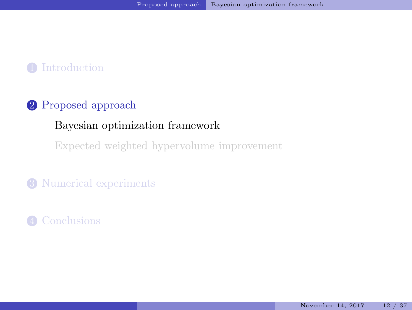### <span id="page-11-0"></span>2 [Proposed approach](#page-10-0)

#### [Bayesian optimization framework](#page-11-0)

[Expected weighted hypervolume improvement](#page-19-0)

#### <sup>3</sup> [Numerical experiments](#page-23-0)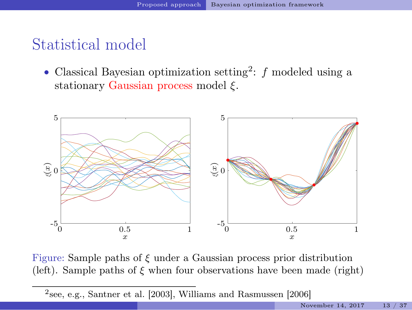### Statistical model

• Classical Bayesian optimization setting<sup>2</sup>:  $f$  modeled using a stationary Gaussian process model  $\xi$ .



Figure: Sample paths of  $\xi$  under a Gaussian process prior distribution (left). Sample paths of  $\xi$  when four observations have been made (right)

2 see, e.g., [Santner et al. \[2003\]](#page-36-1), [Williams and Rasmussen \[2006\]](#page-37-0)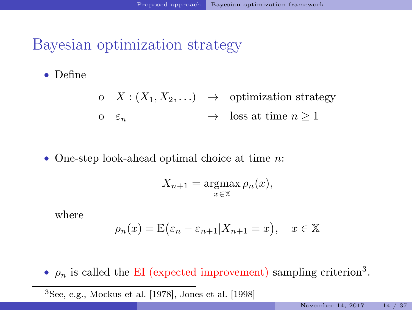### Bayesian optimization strategy

• Define

- o  $\underline{X}$  :  $(X_1, X_2, ...) \rightarrow$  optimization strategy
- o  $\varepsilon_n \longrightarrow \text{loss at time } n > 1$
- One-step look-ahead optimal choice at time *n*:

$$
X_{n+1} = \operatorname*{argmax}_{x \in \mathbb{X}} \rho_n(x),
$$

where

$$
\rho_n(x) = \mathbb{E}(\varepsilon_n - \varepsilon_{n+1} | X_{n+1} = x), \quad x \in \mathbb{X}
$$

•  $\rho_n$  is called the EI (expected improvement) sampling criterion<sup>3</sup>.

 ${}^{3}$ See, e.g., [Mockus et al. \[1978\]](#page-36-2), [Jones et al. \[1998](#page-36-3)]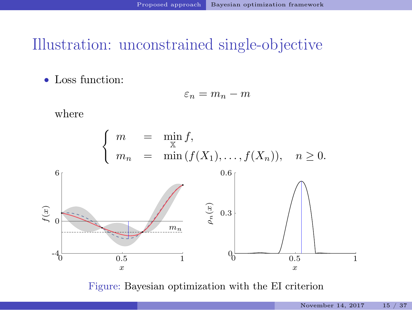### Illustration: unconstrained single-objective

• Loss function:

$$
\varepsilon_n = m_n - m
$$

where



Figure: Bayesian optimization with the EI criterion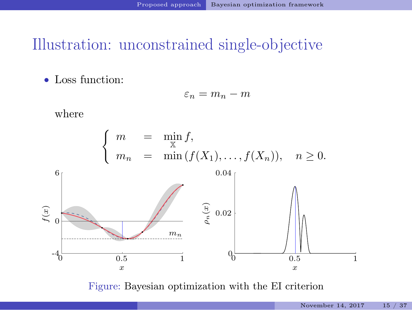### Illustration: unconstrained single-objective

• Loss function:

$$
\varepsilon_n = m_n - m
$$

where



Figure: Bayesian optimization with the EI criterion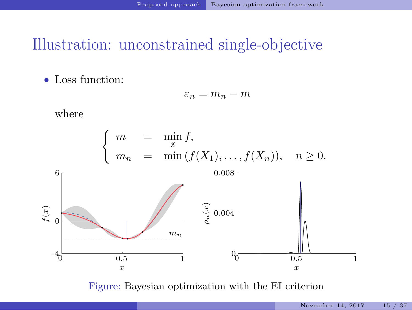### Illustration: unconstrained single-objective

• Loss function:

$$
\varepsilon_n = m_n - m
$$

where



Figure: Bayesian optimization with the EI criterion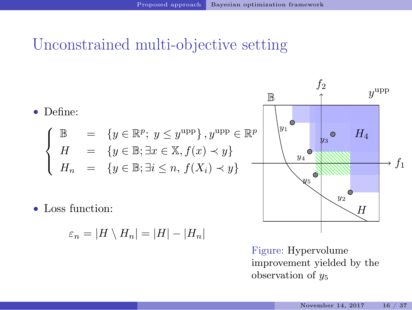### Unconstrained multi-objective setting



Figure: Hypervolume improvement yielded by the observation of  $y_5$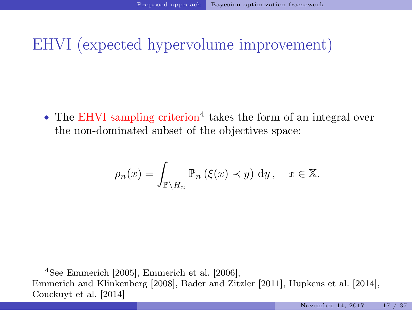### EHVI (expected hypervolume improvement)

• The EHVI sampling criterion<sup>4</sup> takes the form of an integral over the non-dominated subset of the objectives space:

$$
\rho_n(x) = \int_{\mathbb{B}\setminus H_n} \mathbb{P}_n\left(\xi(x) \prec y\right) \, \mathrm{d}y, \quad x \in \mathbb{X}.
$$

<sup>4</sup>See [Emmerich \[2005](#page-34-0)], [Emmerich et al. \[2006](#page-35-0)], [Emmerich and Klinkenberg \[2008\]](#page-34-1), [Bader and Zitzler \[2011\]](#page-33-0), [Hupkens et al. \[2014\]](#page-35-1), [Couckuyt et al. \[2014\]](#page-34-2)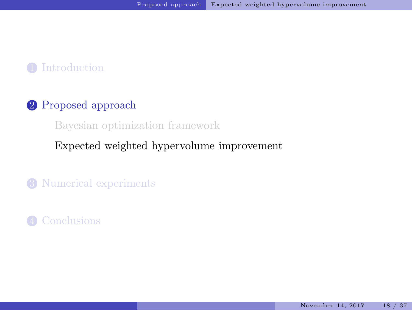#### <span id="page-19-0"></span>2 [Proposed approach](#page-10-0)

[Bayesian optimization framework](#page-11-0)

#### [Expected weighted hypervolume improvement](#page-19-0)

<sup>3</sup> [Numerical experiments](#page-23-0)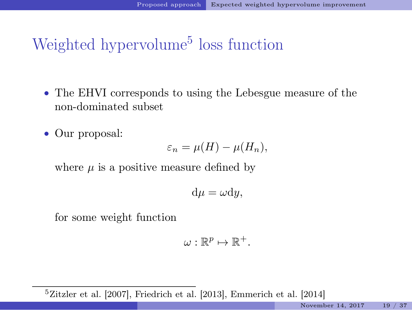Weighted hypervolume<sup>5</sup> loss function

- The EHVI corresponds to using the Lebesgue measure of the non-dominated subset
- Our proposal:

$$
\varepsilon_n = \mu(H) - \mu(H_n),
$$

where  $\mu$  is a positive measure defined by

$$
d\mu = \omega dy,
$$

for some weight function

$$
\omega:\mathbb{R}^p\mapsto\mathbb{R}^+.
$$

 $5Zitzler$  et al.  $[2007]$ , Friedrich et al.  $[2013]$ , Emmerich et al.  $[2014]$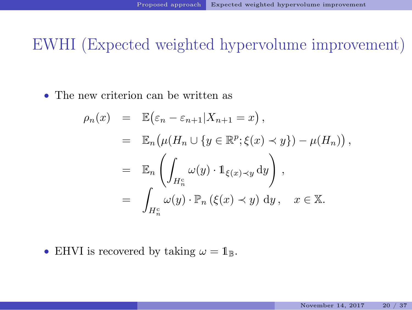EWHI (Expected weighted hypervolume improvement)

• The new criterion can be written as

$$
\rho_n(x) = \mathbb{E}(\varepsilon_n - \varepsilon_{n+1} | X_{n+1} = x),
$$
  
\n
$$
= \mathbb{E}_n(\mu(H_n \cup \{y \in \mathbb{R}^p; \xi(x) \prec y\}) - \mu(H_n)),
$$
  
\n
$$
= \mathbb{E}_n\left(\int_{H_n^c} \omega(y) \cdot 1_{\xi(x) \prec y} dy\right),
$$
  
\n
$$
= \int_{H_n^c} \omega(y) \cdot \mathbb{P}_n(\xi(x) \prec y) dy, \quad x \in \mathbb{X}.
$$

• EHVI is recovered by taking  $\omega = \mathbb{1}_{\mathbb{B}}$ .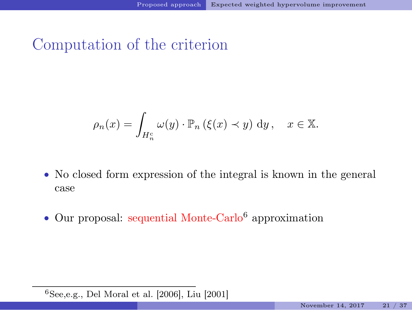### Computation of the criterion

$$
\rho_n(x) = \int_{H_n^c} \omega(y) \cdot \mathbb{P}_n (\xi(x) \prec y) \, dy, \quad x \in \mathbb{X}.
$$

- No closed form expression of the integral is known in the general case
- Our proposal: sequential Monte-Carlo<sup>6</sup> approximation

 $6$ See,e.g., [Del Moral et al. \[2006](#page-34-3)], [Liu \[2001](#page-36-4)]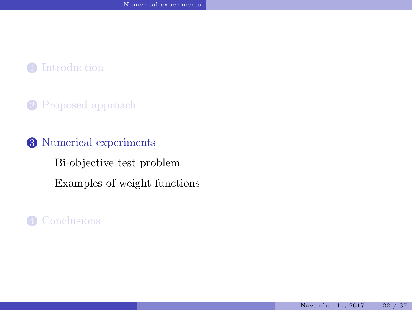#### <span id="page-23-0"></span>2 [Proposed approach](#page-10-0)

### 3 [Numerical experiments](#page-23-0) [Bi-objective test problem](#page-24-0) [Examples of weight functions](#page-26-0)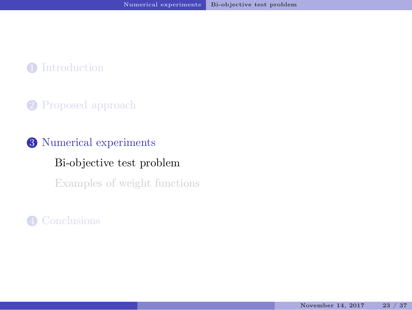### <span id="page-24-0"></span>2 [Proposed approach](#page-10-0)

### 3 [Numerical experiments](#page-23-0)

#### [Bi-objective test problem](#page-24-0)

[Examples of weight functions](#page-26-0)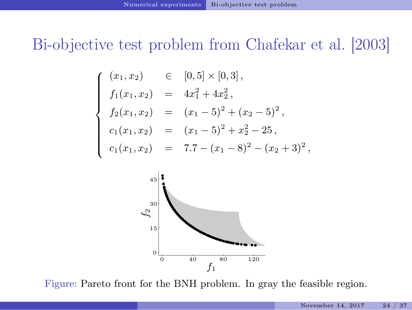### Bi-objective test problem from [Chafekar et al. \[2003\]](#page-33-1)

$$
\begin{cases}\n(x_1, x_2) & \in [0, 5] \times [0, 3], \\
f_1(x_1, x_2) & = 4x_1^2 + 4x_2^2, \\
f_2(x_1, x_2) & = (x_1 - 5)^2 + (x_2 - 5)^2, \\
c_1(x_1, x_2) & = (x_1 - 5)^2 + x_2^2 - 25, \\
c_1(x_1, x_2) & = 7.7 - (x_1 - 8)^2 - (x_2 + 3)^2,\n\end{cases}
$$



Figure: Pareto front for the BNH problem. In gray the feasible region.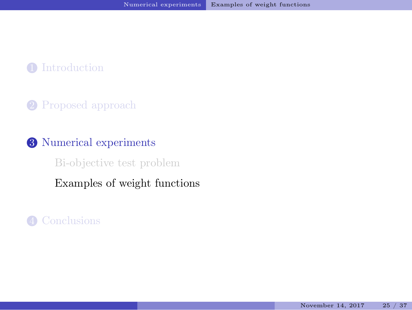### <span id="page-26-0"></span>2 [Proposed approach](#page-10-0)

#### 3 [Numerical experiments](#page-23-0)

[Bi-objective test problem](#page-24-0)

[Examples of weight functions](#page-26-0)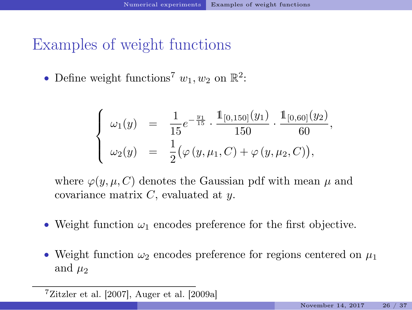### Examples of weight functions

• Define weight functions<sup>7</sup>  $w_1, w_2$  on  $\mathbb{R}^2$ :

$$
\begin{cases}\n\omega_1(y) = \frac{1}{15}e^{-\frac{y_1}{15}} \cdot \frac{\mathbb{1}_{[0,150]}(y_1)}{150} \cdot \frac{\mathbb{1}_{[0,60]}(y_2)}{60}, \\
\omega_2(y) = \frac{1}{2}(\varphi(y,\mu_1,C) + \varphi(y,\mu_2,C)),\n\end{cases}
$$

where  $\varphi(y, \mu, C)$  denotes the Gaussian pdf with mean  $\mu$  and covariance matrix  $C$ , evaluated at  $y$ .

- Weight function  $\omega_1$  encodes preference for the first objective.
- Weight function  $\omega_2$  encodes preference for regions centered on  $\mu_1$ and  $\mu_2$

 $7Zitzler$  et al. [2007], [Auger et al. \[2009a](#page-33-2)]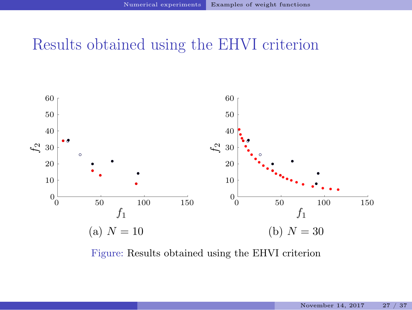### Results obtained using the EHVI criterion



Figure: Results obtained using the EHVI criterion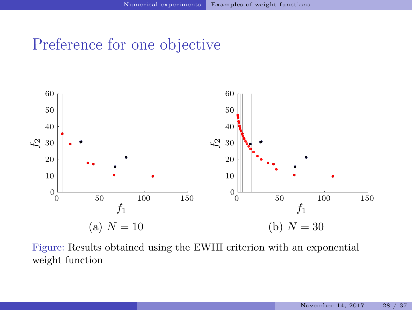### Preference for one objective



Figure: Results obtained using the EWHI criterion with an exponential weight function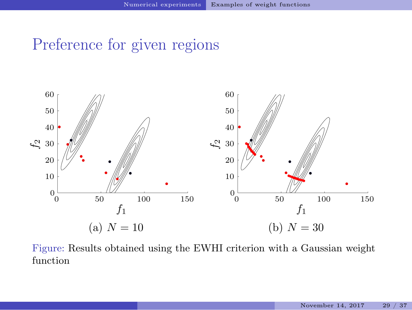### Preference for given regions



Figure: Results obtained using the EWHI criterion with a Gaussian weight function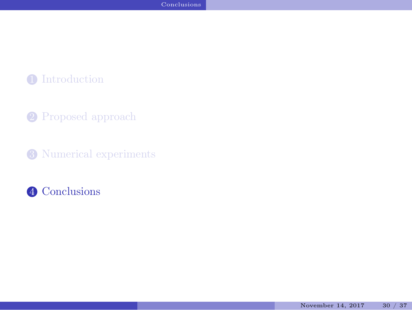- <span id="page-31-0"></span>2 [Proposed approach](#page-10-0)
- <sup>3</sup> [Numerical experiments](#page-23-0)

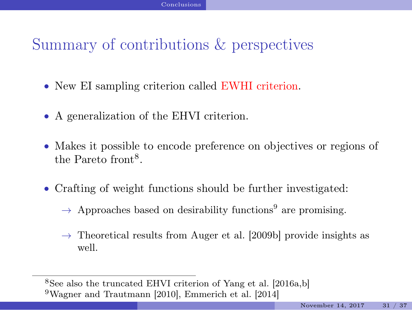### Summary of contributions & perspectives

- New EI sampling criterion called EWHI criterion.
- A generalization of the EHVI criterion.
- Makes it possible to encode preference on objectives or regions of the Pareto front<sup>8</sup>.
- Crafting of weight functions should be further investigated:
	- $\rightarrow$  Approaches based on desirability functions<sup>9</sup> are promising.
	- $\rightarrow$  Theoretical results from [Auger et al. \[2009b\]](#page-33-3) provide insights as well.

<sup>8</sup>See also the truncated EHVI criterion of [Yang et al. \[2016a](#page-37-1)[,b](#page-37-2)] <sup>9</sup>[Wagner and Trautmann \[2010\]](#page-37-3), [Emmerich et al. \[2014\]](#page-35-3)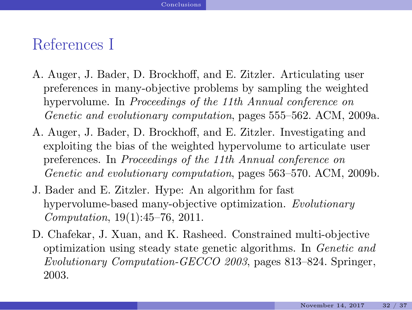### References I

- <span id="page-33-2"></span>A. Auger, J. Bader, D. Brockhoff, and E. Zitzler. Articulating user preferences in many-objective problems by sampling the weighted hypervolume. In *Proceedings of the 11th Annual conference on Genetic and evolutionary computation*, pages 555–562. ACM, 2009a.
- <span id="page-33-3"></span>A. Auger, J. Bader, D. Brockhoff, and E. Zitzler. Investigating and exploiting the bias of the weighted hypervolume to articulate user preferences. In *Proceedings of the 11th Annual conference on Genetic and evolutionary computation*, pages 563–570. ACM, 2009b.
- <span id="page-33-0"></span>J. Bader and E. Zitzler. Hype: An algorithm for fast hypervolume-based many-objective optimization. *Evolutionary Computation*, 19(1):45–76, 2011.
- <span id="page-33-1"></span>D. Chafekar, J. Xuan, and K. Rasheed. Constrained multi-objective optimization using steady state genetic algorithms. In *Genetic and Evolutionary Computation-GECCO 2003*, pages 813–824. Springer, 2003.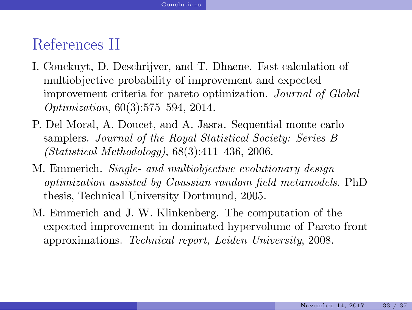### References II

- <span id="page-34-2"></span>I. Couckuyt, D. Deschrijver, and T. Dhaene. Fast calculation of multiobjective probability of improvement and expected improvement criteria for pareto optimization. *Journal of Global Optimization*, 60(3):575–594, 2014.
- <span id="page-34-3"></span>P. Del Moral, A. Doucet, and A. Jasra. Sequential monte carlo samplers. *Journal of the Royal Statistical Society: Series B (Statistical Methodology)*, 68(3):411–436, 2006.
- <span id="page-34-0"></span>M. Emmerich. *Single- and multiobjective evolutionary design optimization assisted by Gaussian random field metamodels*. PhD thesis, Technical University Dortmund, 2005.
- <span id="page-34-1"></span>M. Emmerich and J. W. Klinkenberg. The computation of the expected improvement in dominated hypervolume of Pareto front approximations. *Technical report, Leiden University*, 2008.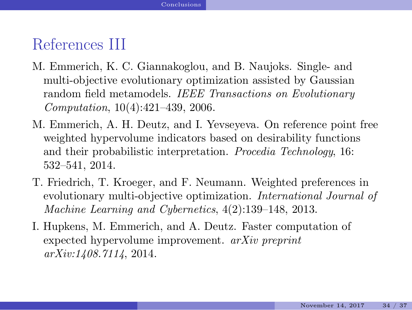### References III

- <span id="page-35-0"></span>M. Emmerich, K. C. Giannakoglou, and B. Naujoks. Single- and multi-objective evolutionary optimization assisted by Gaussian random field metamodels. *IEEE Transactions on Evolutionary Computation*, 10(4):421–439, 2006.
- <span id="page-35-3"></span>M. Emmerich, A. H. Deutz, and I. Yevseyeva. On reference point free weighted hypervolume indicators based on desirability functions and their probabilistic interpretation. *Procedia Technology*, 16: 532–541, 2014.
- <span id="page-35-2"></span>T. Friedrich, T. Kroeger, and F. Neumann. Weighted preferences in evolutionary multi-objective optimization. *International Journal of Machine Learning and Cybernetics*, 4(2):139–148, 2013.
- <span id="page-35-1"></span>I. Hupkens, M. Emmerich, and A. Deutz. Faster computation of expected hypervolume improvement. *arXiv preprint arXiv:1408.7114*, 2014.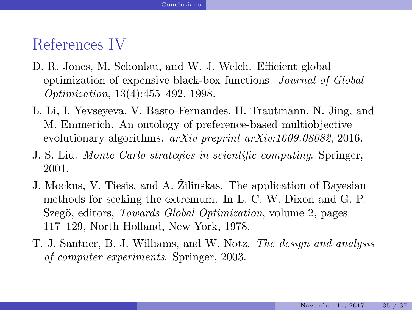### References IV

- <span id="page-36-3"></span>D. R. Jones, M. Schonlau, and W. J. Welch. Efficient global optimization of expensive black-box functions. *Journal of Global Optimization*, 13(4):455–492, 1998.
- <span id="page-36-0"></span>L. Li, I. Yevseyeva, V. Basto-Fernandes, H. Trautmann, N. Jing, and M. Emmerich. An ontology of preference-based multiobjective evolutionary algorithms. *arXiv preprint arXiv:1609.08082*, 2016.
- <span id="page-36-4"></span>J. S. Liu. *Monte Carlo strategies in scientific computing*. Springer, 2001.
- <span id="page-36-2"></span>J. Mockus, V. Tiesis, and A. Žilinskas. The application of Bayesian methods for seeking the extremum. In L. C. W. Dixon and G. P. Szegö, editors, *Towards Global Optimization*, volume 2, pages 117–129, North Holland, New York, 1978.
- <span id="page-36-1"></span>T. J. Santner, B. J. Williams, and W. Notz. *The design and analysis of computer experiments*. Springer, 2003.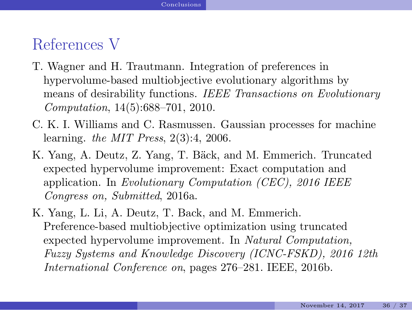### References V

- <span id="page-37-3"></span>T. Wagner and H. Trautmann. Integration of preferences in hypervolume-based multiobjective evolutionary algorithms by means of desirability functions. *IEEE Transactions on Evolutionary Computation*, 14(5):688–701, 2010.
- <span id="page-37-0"></span>C. K. I. Williams and C. Rasmussen. Gaussian processes for machine learning. *the MIT Press*, 2(3):4, 2006.
- <span id="page-37-1"></span>K. Yang, A. Deutz, Z. Yang, T. Bäck, and M. Emmerich. Truncated expected hypervolume improvement: Exact computation and application. In *Evolutionary Computation (CEC), 2016 IEEE Congress on, Submitted*, 2016a.
- <span id="page-37-2"></span>K. Yang, L. Li, A. Deutz, T. Back, and M. Emmerich. Preference-based multiobjective optimization using truncated expected hypervolume improvement. In *Natural Computation, Fuzzy Systems and Knowledge Discovery (ICNC-FSKD), 2016 12th International Conference on*, pages 276–281. IEEE, 2016b.